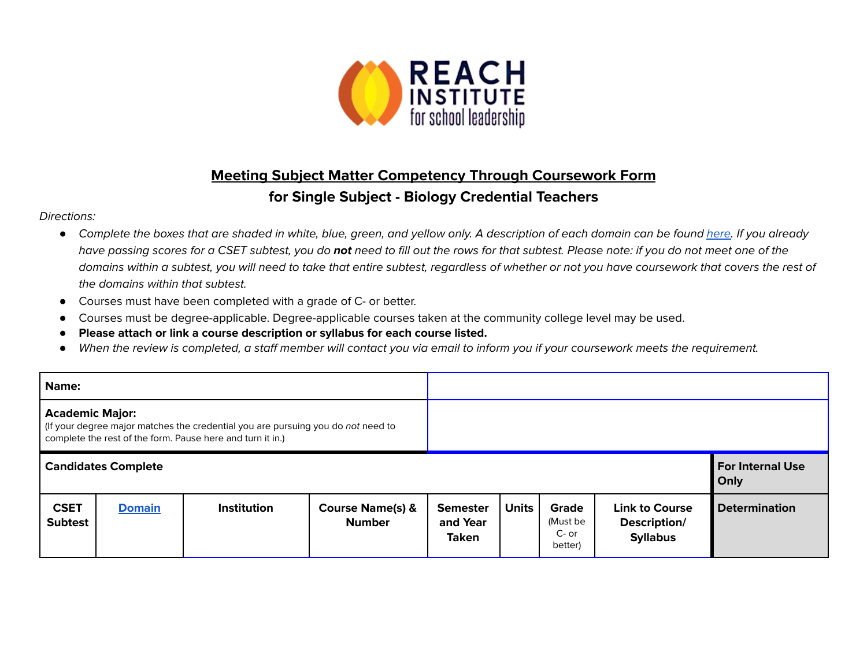

## **Meeting Subject Matter Competency Through Coursework Form for Single Subject - Biology Credential Teachers**

## Directions:

- Complete the boxes that are shaded in white, blue, green, and yellow only. A description of each domain can be found [here.](https://www.ctc.ca.gov/docs/default-source/educator-prep/files/domains-of-subject-matter-requirements.pdf?sfvrsn=dcd525b1_2) If you already have passing scores for a CSET subtest, you do **not** need to fill out the rows for that subtest. Please note: if you do not meet one of the domains within a subtest, you will need to take that entire subtest, regardless of whether or not you have coursework that covers the rest of the domains within that subtest.
- *●* Courses must have been completed with a grade of C- or better.
- Courses must be degree-applicable. Degree-applicable courses taken at the community college level may be used.
- *●* **Please attach or link a course description or syllabus for each course listed.**
- *●* When the review is completed, a staff member will contact you via email to inform you if your coursework meets the requirement.

| Name:                                                                                                                                                                    |               |                    |                                              |                                             |              |                                         |                                                          |                                 |
|--------------------------------------------------------------------------------------------------------------------------------------------------------------------------|---------------|--------------------|----------------------------------------------|---------------------------------------------|--------------|-----------------------------------------|----------------------------------------------------------|---------------------------------|
| <b>Academic Major:</b><br>(If your degree major matches the credential you are pursuing you do not need to<br>complete the rest of the form. Pause here and turn it in.) |               |                    |                                              |                                             |              |                                         |                                                          |                                 |
| <b>Candidates Complete</b>                                                                                                                                               |               |                    |                                              |                                             |              |                                         |                                                          | <b>For Internal Use</b><br>Only |
| <b>CSET</b><br><b>Subtest</b>                                                                                                                                            | <b>Domain</b> | <b>Institution</b> | <b>Course Name(s) &amp;</b><br><b>Number</b> | <b>Semester</b><br>and Year<br><b>Taken</b> | <b>Units</b> | Grade<br>(Must be<br>$C-$ or<br>better) | <b>Link to Course</b><br>Description/<br><b>Syllabus</b> | <b>Determination</b>            |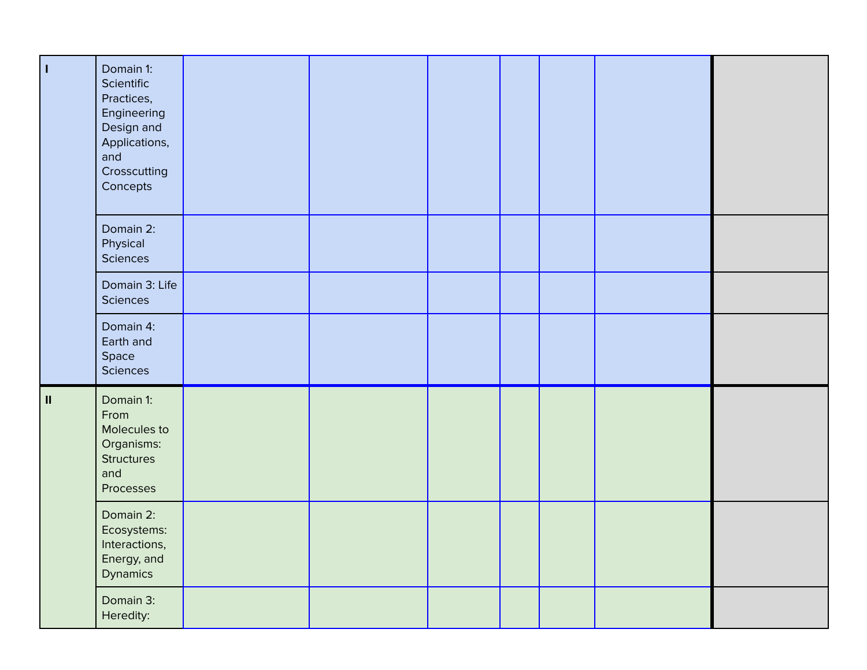| П           | Domain 1:<br>Scientific<br>Practices,<br>Engineering<br>Design and<br>Applications,<br>and<br>Crosscutting<br>Concepts |  |  |  |  |
|-------------|------------------------------------------------------------------------------------------------------------------------|--|--|--|--|
|             | Domain 2:<br>Physical<br>Sciences                                                                                      |  |  |  |  |
|             | Domain 3: Life<br><b>Sciences</b>                                                                                      |  |  |  |  |
|             | Domain 4:<br>Earth and<br>Space<br>Sciences                                                                            |  |  |  |  |
| $\mathbf H$ | Domain 1:<br>From<br>Molecules to<br>Organisms:<br><b>Structures</b><br>and<br>Processes                               |  |  |  |  |
|             | Domain 2:<br>Ecosystems:<br>Interactions,<br>Energy, and<br>Dynamics                                                   |  |  |  |  |
|             | Domain 3:<br>Heredity:                                                                                                 |  |  |  |  |